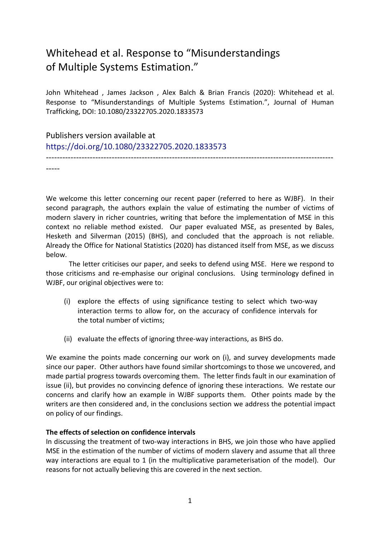# Whitehead et al. Response to "Misunderstandings of Multiple Systems Estimation."

John Whitehead , James Jackson , Alex Balch & Brian Francis (2020): Whitehead et al. Response to "Misunderstandings of Multiple Systems Estimation.", Journal of Human Trafficking, DOI: 10.1080/23322705.2020.1833573

---------------------------------------------------------------------------------------------------------

Publishers version available at <https://doi.org/10.1080/23322705.2020.1833573>

-----

We welcome this letter concerning our recent paper (referred to here as WJBF). In their second paragraph, the authors explain the value of estimating the number of victims of modern slavery in richer countries, writing that before the implementation of MSE in this context no reliable method existed. Our paper evaluated MSE, as presented by Bales, Hesketh and Silverman (2015) (BHS), and concluded that the approach is not reliable. Already the Office for National Statistics (2020) has distanced itself from MSE, as we discuss below.

The letter criticises our paper, and seeks to defend using MSE. Here we respond to those criticisms and re-emphasise our original conclusions. Using terminology defined in WJBF, our original objectives were to:

- (i) explore the effects of using significance testing to select which two-way interaction terms to allow for, on the accuracy of confidence intervals for the total number of victims;
- (ii) evaluate the effects of ignoring three-way interactions, as BHS do.

We examine the points made concerning our work on (i), and survey developments made since our paper. Other authors have found similar shortcomings to those we uncovered, and made partial progress towards overcoming them. The letter finds fault in our examination of issue (ii), but provides no convincing defence of ignoring these interactions. We restate our concerns and clarify how an example in WJBF supports them. Other points made by the writers are then considered and, in the conclusions section we address the potential impact on policy of our findings.

## **The effects of selection on confidence intervals**

In discussing the treatment of two-way interactions in BHS, we join those who have applied MSE in the estimation of the number of victims of modern slavery and assume that all three way interactions are equal to 1 (in the multiplicative parameterisation of the model). Our reasons for not actually believing this are covered in the next section.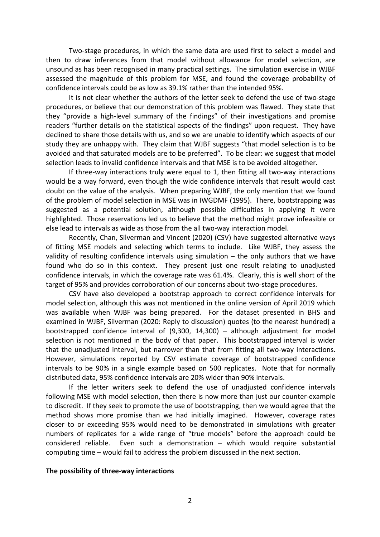Two-stage procedures, in which the same data are used first to select a model and then to draw inferences from that model without allowance for model selection, are unsound as has been recognised in many practical settings. The simulation exercise in WJBF assessed the magnitude of this problem for MSE, and found the coverage probability of confidence intervals could be as low as 39.1% rather than the intended 95%.

It is not clear whether the authors of the letter seek to defend the use of two-stage procedures, or believe that our demonstration of this problem was flawed. They state that they "provide a high-level summary of the findings" of their investigations and promise readers "further details on the statistical aspects of the findings" upon request. They have declined to share those details with us, and so we are unable to identify which aspects of our study they are unhappy with. They claim that WJBF suggests "that model selection is to be avoided and that saturated models are to be preferred". To be clear: we suggest that model selection leads to invalid confidence intervals and that MSE is to be avoided altogether.

If three-way interactions truly were equal to 1, then fitting all two-way interactions would be a way forward, even though the wide confidence intervals that result would cast doubt on the value of the analysis. When preparing WJBF, the only mention that we found of the problem of model selection in MSE was in IWGDMF (1995). There, bootstrapping was suggested as a potential solution, although possible difficulties in applying it were highlighted. Those reservations led us to believe that the method might prove infeasible or else lead to intervals as wide as those from the all two-way interaction model.

Recently, Chan, Silverman and Vincent (2020) (CSV) have suggested alternative ways of fitting MSE models and selecting which terms to include. Like WJBF, they assess the validity of resulting confidence intervals using simulation – the only authors that we have found who do so in this context. They present just one result relating to unadjusted confidence intervals, in which the coverage rate was 61.4%. Clearly, this is well short of the target of 95% and provides corroboration of our concerns about two-stage procedures.

CSV have also developed a bootstrap approach to correct confidence intervals for model selection, although this was not mentioned in the online version of April 2019 which was available when WJBF was being prepared. For the dataset presented in BHS and examined in WJBF, Silverman (2020: Reply to discussion) quotes (to the nearest hundred) a bootstrapped confidence interval of (9,300, 14,300) – although adjustment for model selection is not mentioned in the body of that paper. This bootstrapped interval is wider that the unadjusted interval, but narrower than that from fitting all two-way interactions. However, simulations reported by CSV estimate coverage of bootstrapped confidence intervals to be 90% in a single example based on 500 replicates. Note that for normally distributed data, 95% confidence intervals are 20% wider than 90% intervals.

If the letter writers seek to defend the use of unadjusted confidence intervals following MSE with model selection, then there is now more than just our counter-example to discredit. If they seek to promote the use of bootstrapping, then we would agree that the method shows more promise than we had initially imagined. However, coverage rates closer to or exceeding 95% would need to be demonstrated in simulations with greater numbers of replicates for a wide range of "true models" before the approach could be considered reliable. Even such a demonstration – which would require substantial computing time – would fail to address the problem discussed in the next section.

#### **The possibility of three-way interactions**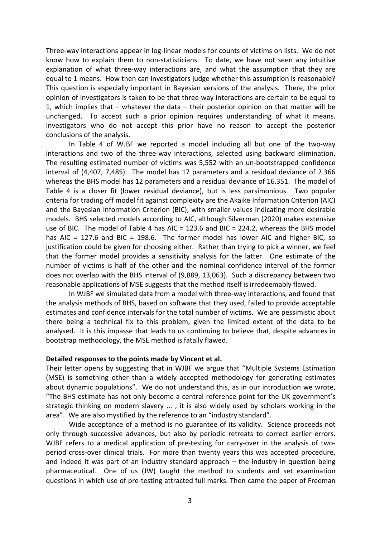Three-way interactions appear in log-linear models for counts of victims on lists. We do not know how to explain them to non-statisticians. To date, we have not seen any intuitive explanation of what three-way interactions are, and what the assumption that they are equal to 1 means. How then can investigators judge whether this assumption is reasonable? This question is especially important in Bayesian versions of the analysis. There, the prior opinion of investigators is taken to be that three-way interactions are certain to be equal to 1, which implies that – whatever the data – their posterior opinion on that matter will be unchanged. To accept such a prior opinion requires understanding of what it means. Investigators who do not accept this prior have no reason to accept the posterior conclusions of the analysis.

In Table 4 of WJBF we reported a model including all but one of the two-way interactions and two of the three-way interactions, selected using backward elimination. The resulting estimated number of victims was 5,552 with an un-bootstrapped confidence interval of (4,407, 7,485). The model has 17 parameters and a residual deviance of 2.366 whereas the BHS model has 12 parameters and a residual deviance of 16.351. The model of Table 4 is a closer fit (lower residual deviance), but is less parsimonious. Two popular criteria for trading off model fit against complexity are the Akaike Information Criterion (AIC) and the Bayesian Information Criterion (BIC), with smaller values indicating more desirable models. BHS selected models according to AIC, although Silverman (2020) makes extensive use of BIC. The model of Table 4 has AIC = 123.6 and BIC = 224.2, whereas the BHS model has AIC = 127.6 and BIC = 198.6. The former model has lower AIC and higher BIC, so justification could be given for choosing either. Rather than trying to pick a winner, we feel that the former model provides a sensitivity analysis for the latter. One estimate of the number of victims is half of the other and the nominal confidence interval of the former does not overlap with the BHS interval of (9,889, 13,063). Such a discrepancy between two reasonable applications of MSE suggests that the method itself is irredeemably flawed.

In WJBF we simulated data from a model with three-way interactions, and found that the analysis methods of BHS, based on software that they used, failed to provide acceptable estimates and confidence intervals for the total number of victims. We are pessimistic about there being a technical fix to this problem, given the limited extent of the data to be analysed. It is this impasse that leads to us continuing to believe that, despite advances in bootstrap methodology, the MSE method is fatally flawed.

#### **Detailed responses to the points made by Vincent et al.**

Their letter opens by suggesting that in WJBF we argue that "Multiple Systems Estimation (MSE) is something other than a widely accepted methodology for generating estimates about dynamic populations". We do not understand this, as in our introduction we wrote, "The BHS estimate has not only become a central reference point for the UK government's strategic thinking on modern slavery ... , it is also widely used by scholars working in the area". We are also mystified by the reference to an "industry standard".

Wide acceptance of a method is no guarantee of its validity. Science proceeds not only through successive advances, but also by periodic retreats to correct earlier errors. WJBF refers to a medical application of pre-testing for carry-over in the analysis of twoperiod cross-over clinical trials. For more than twenty years this was accepted procedure, and indeed it was part of an industry standard approach  $-$  the industry in question being pharmaceutical. One of us (JW) taught the method to students and set examination questions in which use of pre-testing attracted full marks. Then came the paper of Freeman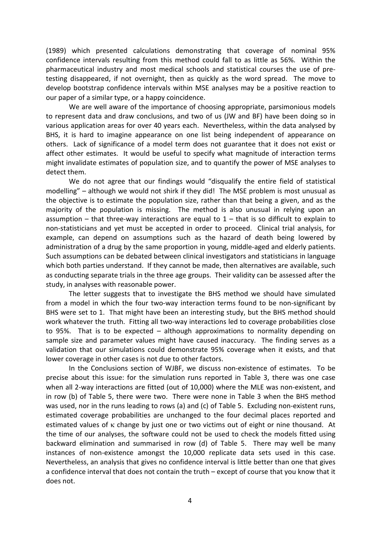(1989) which presented calculations demonstrating that coverage of nominal 95% confidence intervals resulting from this method could fall to as little as 56%. Within the pharmaceutical industry and most medical schools and statistical courses the use of pretesting disappeared, if not overnight, then as quickly as the word spread. The move to develop bootstrap confidence intervals within MSE analyses may be a positive reaction to our paper of a similar type, or a happy coincidence.

We are well aware of the importance of choosing appropriate, parsimonious models to represent data and draw conclusions, and two of us (JW and BF) have been doing so in various application areas for over 40 years each. Nevertheless, within the data analysed by BHS, it is hard to imagine appearance on one list being independent of appearance on others. Lack of significance of a model term does not guarantee that it does not exist or affect other estimates. It would be useful to specify what magnitude of interaction terms might invalidate estimates of population size, and to quantify the power of MSE analyses to detect them.

We do not agree that our findings would "disqualify the entire field of statistical modelling" – although we would not shirk if they did! The MSE problem is most unusual as the objective is to estimate the population size, rather than that being a given, and as the majority of the population is missing. The method is also unusual in relying upon an assumption – that three-way interactions are equal to  $1$  – that is so difficult to explain to non-statisticians and yet must be accepted in order to proceed. Clinical trial analysis, for example, can depend on assumptions such as the hazard of death being lowered by administration of a drug by the same proportion in young, middle-aged and elderly patients. Such assumptions can be debated between clinical investigators and statisticians in language which both parties understand. If they cannot be made, then alternatives are available, such as conducting separate trials in the three age groups. Their validity can be assessed after the study, in analyses with reasonable power.

The letter suggests that to investigate the BHS method we should have simulated from a model in which the four two-way interaction terms found to be non-significant by BHS were set to 1. That might have been an interesting study, but the BHS method should work whatever the truth. Fitting all two-way interactions led to coverage probabilities close to 95%. That is to be expected – although approximations to normality depending on sample size and parameter values might have caused inaccuracy. The finding serves as a validation that our simulations could demonstrate 95% coverage when it exists, and that lower coverage in other cases is not due to other factors.

In the Conclusions section of WJBF, we discuss non-existence of estimates. To be precise about this issue: for the simulation runs reported in Table 3, there was one case when all 2-way interactions are fitted (out of 10,000) where the MLE was non-existent, and in row (b) of Table 5, there were two. There were none in Table 3 when the BHS method was used, nor in the runs leading to rows (a) and (c) of Table 5. Excluding non-existent runs, estimated coverage probabilities are unchanged to the four decimal places reported and estimated values of κ change by just one or two victims out of eight or nine thousand. At the time of our analyses, the software could not be used to check the models fitted using backward elimination and summarised in row (d) of Table 5. There may well be many instances of non-existence amongst the 10,000 replicate data sets used in this case. Nevertheless, an analysis that gives no confidence interval is little better than one that gives a confidence interval that does not contain the truth – except of course that you know that it does not.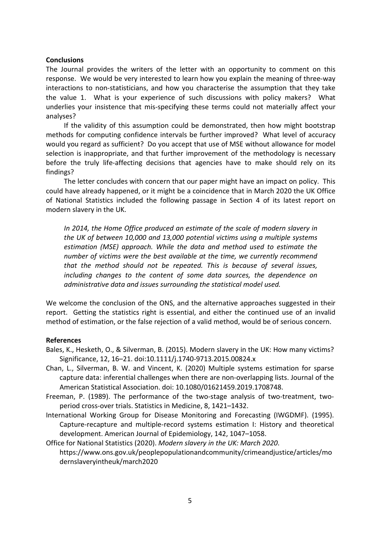### **Conclusions**

The Journal provides the writers of the letter with an opportunity to comment on this response. We would be very interested to learn how you explain the meaning of three-way interactions to non-statisticians, and how you characterise the assumption that they take the value 1. What is your experience of such discussions with policy makers? What underlies your insistence that mis-specifying these terms could not materially affect your analyses?

If the validity of this assumption could be demonstrated, then how might bootstrap methods for computing confidence intervals be further improved? What level of accuracy would you regard as sufficient? Do you accept that use of MSE without allowance for model selection is inappropriate, and that further improvement of the methodology is necessary before the truly life-affecting decisions that agencies have to make should rely on its findings?

The letter concludes with concern that our paper might have an impact on policy. This could have already happened, or it might be a coincidence that in March 2020 the UK Office of National Statistics included the following passage in Section 4 of its latest report on modern slavery in the UK.

*In 2014, the Home Office produced an estimate of the scale of modern slavery in the UK of between 10,000 and 13,000 potential victims using a multiple systems estimation (MSE) approach. While the data and method used to estimate the number of victims were the best available at the time, we currently recommend that the method should not be repeated. This is because of several issues, including changes to the content of some data sources, the dependence on administrative data and issues surrounding the statistical model used.*

We welcome the conclusion of the ONS, and the alternative approaches suggested in their report. Getting the statistics right is essential, and either the continued use of an invalid method of estimation, or the false rejection of a valid method, would be of serious concern.

#### **References**

- Bales, K., Hesketh, O., & Silverman, B. (2015). Modern slavery in the UK: How many victims? Significance, 12, 16–21. doi:10.1111/j.1740-9713.2015.00824.x
- Chan, L., Silverman, B. W. and Vincent, K. (2020) Multiple systems estimation for sparse capture data: inferential challenges when there are non-overlapping lists. Journal of the American Statistical Association. doi: 10.1080/01621459.2019.1708748.
- Freeman, P. (1989). The performance of the two-stage analysis of two-treatment, twoperiod cross-over trials. Statistics in Medicine, 8, 1421–1432.
- International Working Group for Disease Monitoring and Forecasting (IWGDMF). (1995). Capture-recapture and multiple-record systems estimation I: History and theoretical development. American Journal of Epidemiology, 142, 1047–1058.
- Office for National Statistics (2020). *Modern slavery in the UK: March 2020*. [https://www.ons.gov.uk/peoplepopulationandcommunity/crimeandjustice/articles/mo](https://www.ons.gov.uk/peoplepopulationandcommunity/crimeandjustice/articles/modernslaveryintheuk/march2020) [dernslaveryintheuk/march2020](https://www.ons.gov.uk/peoplepopulationandcommunity/crimeandjustice/articles/modernslaveryintheuk/march2020)